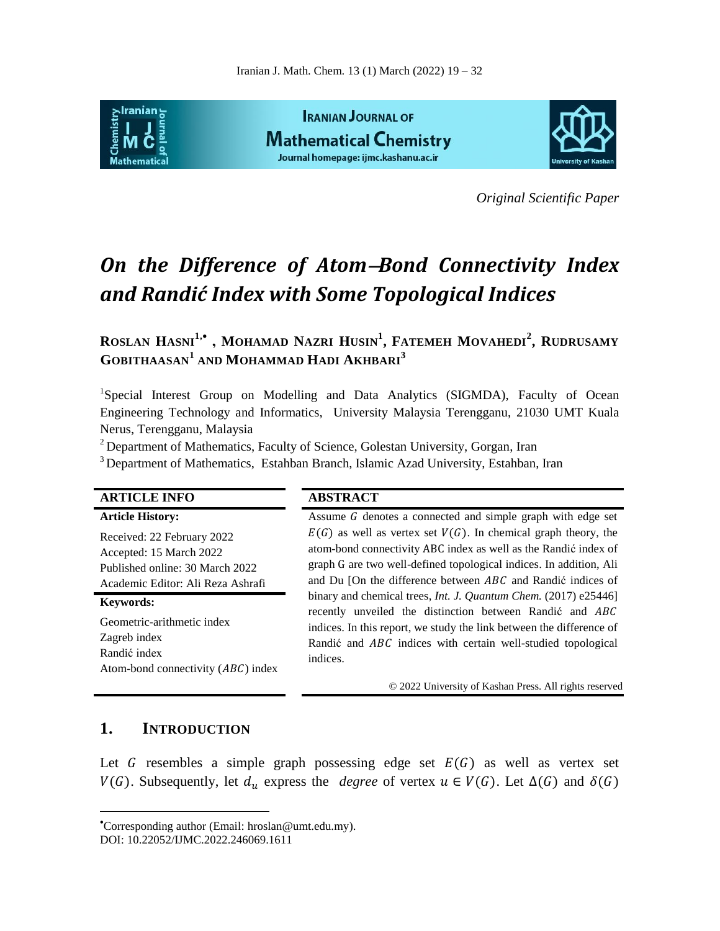

*Original Scientific Paper*

# **On the Difference of Atom-Bond Connectivity Index** *and Randić Index with Some Topological Indices*

ROSLAN HASNI<sup>1,</sup>\*, MOHAMAD NAZRI HUSIN<sup>1</sup>, FATEMEH MOVAHEDI<sup>2</sup>, RUDRUSAMY **GOBITHAASAN<sup>1</sup> AND MOHAMMAD HADI AKHBARI 3**

<sup>1</sup>Special Interest Group on Modelling and Data Analytics (SIGMDA), Faculty of Ocean Engineering Technology and Informatics, University Malaysia Terengganu, 21030 UMT Kuala Nerus, Terengganu, Malaysia

<sup>2</sup> Department of Mathematics, Faculty of Science, Golestan University, Gorgan, Iran

<sup>3</sup> Department of Mathematics, Estahban Branch, Islamic Azad University, Estahban, Iran

| <b>ARTICLE INFO</b>                                                                                                           | <b>ABSTRACT</b>                                                                                                                                                                                                                                                                                                                                                                                                                                                                                                                                                              |
|-------------------------------------------------------------------------------------------------------------------------------|------------------------------------------------------------------------------------------------------------------------------------------------------------------------------------------------------------------------------------------------------------------------------------------------------------------------------------------------------------------------------------------------------------------------------------------------------------------------------------------------------------------------------------------------------------------------------|
| <b>Article History:</b>                                                                                                       | Assume G denotes a connected and simple graph with edge set                                                                                                                                                                                                                                                                                                                                                                                                                                                                                                                  |
| Received: 22 February 2022<br>Accepted: 15 March 2022<br>Published online: 30 March 2022<br>Academic Editor: Ali Reza Ashrafi | $E(G)$ as well as vertex set $V(G)$ . In chemical graph theory, the<br>atom-bond connectivity ABC index as well as the Randić index of<br>graph G are two well-defined topological indices. In addition, Ali<br>and Du [On the difference between ABC and Randic indices of<br>binary and chemical trees, <i>Int. J. Quantum Chem.</i> (2017) e25446]<br>recently unveiled the distinction between Randić and ABC<br>indices. In this report, we study the link between the difference of<br>Randić and <i>ABC</i> indices with certain well-studied topological<br>indices. |
| <b>Keywords:</b><br>Geometric-arithmetic index<br>Zagreb index<br>Randić index<br>Atom-bond connectivity $(ABC)$ index        |                                                                                                                                                                                                                                                                                                                                                                                                                                                                                                                                                                              |
|                                                                                                                               | © 2022 University of Kashan Press. All rights reserved                                                                                                                                                                                                                                                                                                                                                                                                                                                                                                                       |

## **1. INTRODUCTION**

 $\overline{a}$ 

Let G resembles a simple graph possessing edge set  $E(G)$  as well as vertex set  $V(G)$ . Subsequently, let  $d_u$  express the *degree* of vertex  $u \in V(G)$ . Let  $\Delta(G)$  and  $\delta(G)$ 

Corresponding author (Email: hroslan@umt.edu.my).

DOI: 10.22052/IJMC.2022.246069.1611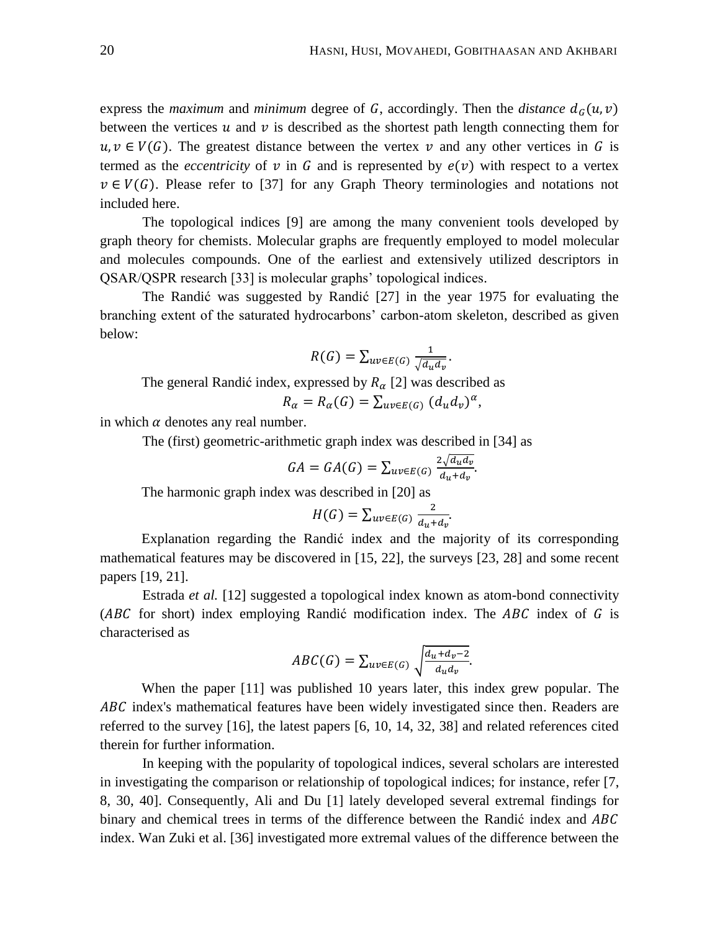express the *maximum* and *minimum* degree of G, accordingly. Then the *distance*  $d_G(u, v)$ between the vertices  $u$  and  $v$  is described as the shortest path length connecting them for  $u, v \in V(G)$ . The greatest distance between the vertex v and any other vertices in G is termed as the *eccentricity* of  $v$  in  $G$  and is represented by  $e(v)$  with respect to a vertex  $v \in V(G)$ . Please refer to [37] for any Graph Theory terminologies and notations not included here.

The topological indices [9] are among the many convenient tools developed by graph theory for chemists. Molecular graphs are frequently employed to model molecular and molecules compounds. One of the earliest and extensively utilized descriptors in QSAR/QSPR research [33] is molecular graphs' topological indices.

The Randić was suggested by Randić [27] in the year 1975 for evaluating the branching extent of the saturated hydrocarbons' carbon-atom skeleton, described as given below:

$$
R(G) = \sum_{uv \in E(G)} \frac{1}{\sqrt{d_u d_v}}.
$$

The general Randić index, expressed by  $R_{\alpha}$  [2] was described as  $R_{\alpha} = R_{\alpha}(G) = \sum_{uv \in E(G)} (d_u d_v)^{\alpha},$ 

in which  $\alpha$  denotes any real number.

The (first) geometric-arithmetic graph index was described in [34] as

$$
GA = GA(G) = \sum_{uv \in E(G)} \frac{2\sqrt{d_u d_v}}{d_u + d_v}.
$$

The harmonic graph index was described in [20] as

$$
H(G) = \sum_{uv \in E(G)} \frac{2}{d_u + d_v}.
$$

Explanation regarding the Randić index and the majority of its corresponding mathematical features may be discovered in [15, 22], the surveys [23, 28] and some recent papers [19, 21].

Estrada *et al.* [12] suggested a topological index known as atom-bond connectivity ( $ABC$  for short) index employing Randić modification index. The  $ABC$  index of G is characterised as

$$
ABC(G) = \sum_{uv \in E(G)} \sqrt{\frac{d_u + d_v - 2}{d_u d_v}}.
$$

When the paper [11] was published 10 years later, this index grew popular. The ABC index's mathematical features have been widely investigated since then. Readers are referred to the survey [16], the latest papers [6, 10, 14, 32, 38] and related references cited therein for further information.

In keeping with the popularity of topological indices, several scholars are interested in investigating the comparison or relationship of topological indices; for instance, refer [7, 8, 30, 40]. Consequently, Ali and Du [1] lately developed several extremal findings for binary and chemical trees in terms of the difference between the Randić index and ABC index. Wan Zuki et al. [36] investigated more extremal values of the difference between the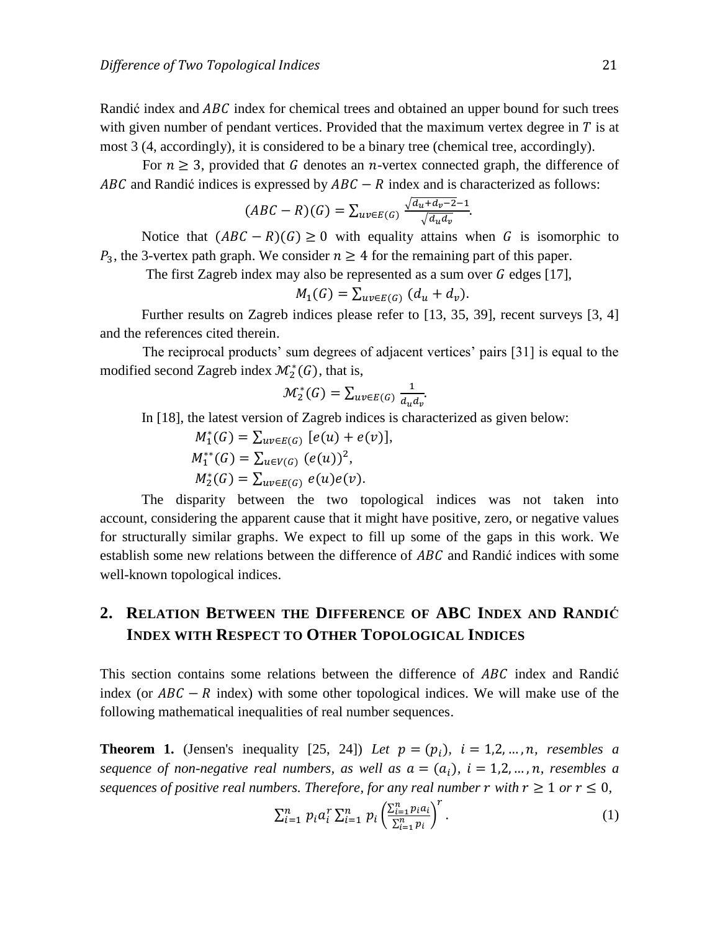Randić index and  $ABC$  index for chemical trees and obtained an upper bound for such trees with given number of pendant vertices. Provided that the maximum vertex degree in  $T$  is at most 3 (4, accordingly), it is considered to be a binary tree (chemical tree, accordingly).

For  $n \geq 3$ , provided that G denotes an *n*-vertex connected graph, the difference of ABC and Randić indices is expressed by  $ABC - R$  index and is characterized as follows:

$$
(ABC - R)(G) = \sum_{uv \in E(G)} \frac{\sqrt{d_u + d_v - 2} - 1}{\sqrt{d_u d_v}}.
$$

Notice that  $(ABC - R)(G) \ge 0$  with equality attains when G is isomorphic to  $P_3$ , the 3-vertex path graph. We consider  $n \geq 4$  for the remaining part of this paper.

The first Zagreb index may also be represented as a sum over  $G$  edges [17],

$$
M_1(G) = \sum_{uv \in E(G)} (d_u + d_v).
$$

Further results on Zagreb indices please refer to [13, 35, 39], recent surveys [3, 4] and the references cited therein.

The reciprocal products' sum degrees of adjacent vertices' pairs [31] is equal to the modified second Zagreb index  $\mathcal{M}_2^*(G)$ , that is,

$$
\mathcal{M}_2^*(G) = \sum_{uv \in E(G)} \frac{1}{d_u d_v}
$$

In [18], the latest version of Zagreb indices is characterized as given below:

$$
M_1^*(G) = \sum_{uv \in E(G)} [e(u) + e(v)],
$$
  
\n
$$
M_1^{**}(G) = \sum_{uv \in V(G)} (e(u))^2,
$$
  
\n
$$
M_2^*(G) = \sum_{uv \in E(G)} e(u)e(v).
$$

The disparity between the two topological indices was not taken into account, considering the apparent cause that it might have positive, zero, or negative values for structurally similar graphs. We expect to fill up some of the gaps in this work. We establish some new relations between the difference of ABC and Randić indices with some well-known topological indices.

## **2. RELATION BETWEEN THE DIFFERENCE OF ABC INDEX AND RANDIĆ INDEX WITH RESPECT TO OTHER TOPOLOGICAL INDICES**

This section contains some relations between the difference of ABC index and Randić index (or  $ABC - R$  index) with some other topological indices. We will make use of the following mathematical inequalities of real number sequences.

**Theorem 1.** (Jensen's inequality [25, 24]) *Let*  $p = (p_i)$ ,  $i = 1, 2, ..., n$ , *resembles a sequence of non-negative real numbers, as well as*  $a = (a_i)$ ,  $i = 1, 2, ..., n$ , *resembles a sequences of positive real numbers. Therefore, for any real number r with*  $r \geq 1$  *or*  $r \leq 0$ *,* 

$$
\sum_{i=1}^{n} p_i a_i^r \sum_{i=1}^{n} p_i \left( \frac{\sum_{i=1}^{n} p_i a_i}{\sum_{i=1}^{n} p_i} \right)^r.
$$
 (1)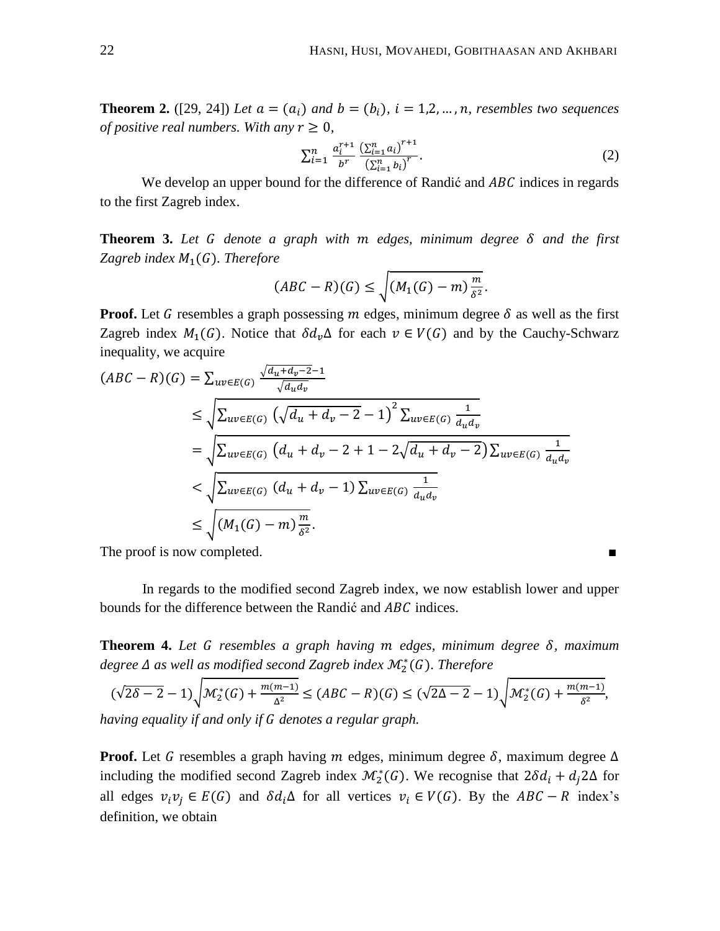**Theorem 2.** ([29, 24]) *Let*  $a = (a_i)$  *and*  $b = (b_i)$ ,  $i = 1, 2, ..., n$ , *resembles two sequences of positive real numbers. With any*  $r \geq 0$ ,

$$
\sum_{i=1}^{n} \frac{a_i^{r+1}}{b^r} \frac{\left(\sum_{i=1}^{n} a_i\right)^{r+1}}{\left(\sum_{i=1}^{n} b_i\right)^r}.
$$
 (2)

We develop an upper bound for the difference of Randić and  $ABC$  indices in regards to the first Zagreb index.

**Theorem 3.** Let G denote a graph with  $m$  edges, minimum degree  $\delta$  and the first *Zagreb index*  $M_1(G)$ *. Therefore* 

$$
(ABC - R)(G) \le \sqrt{(M_1(G) - m)\frac{m}{\delta^2}}.
$$

**Proof.** Let G resembles a graph possessing m edges, minimum degree  $\delta$  as well as the first Zagreb index  $M_1(G)$ . Notice that  $\delta d_v \Delta$  for each  $v \in V(G)$  and by the Cauchy-Schwarz inequality, we acquire

$$
(ABC - R)(G) = \sum_{uv \in E(G)} \frac{\sqrt{d_u + d_v - 2 - 1}}{\sqrt{d_u d_v}}
$$
  
\n
$$
\leq \sqrt{\sum_{uv \in E(G)} (\sqrt{d_u + d_v - 2} - 1)^2 \sum_{uv \in E(G)} \frac{1}{d_u d_v}}
$$
  
\n
$$
= \sqrt{\sum_{uv \in E(G)} (d_u + d_v - 2 + 1 - 2\sqrt{d_u + d_v - 2}) \sum_{uv \in E(G)} \frac{1}{d_u d_v}}
$$
  
\n
$$
< \sqrt{\sum_{uv \in E(G)} (d_u + d_v - 1) \sum_{uv \in E(G)} \frac{1}{d_u d_v}}
$$
  
\n
$$
\leq \sqrt{(M_1(G) - m) \frac{m}{\delta^2}}.
$$

The proof is now completed.

In regards to the modified second Zagreb index, we now establish lower and upper bounds for the difference between the Randić and ABC indices.

**Theorem 4.** Let *G* resembles a graph having *m* edges, minimum degree δ, maximum degree  $\Delta$  as well as modified second Zagreb index  $\mathcal{M}_{2}^{*}(G)$ . Therefore

$$
(\sqrt{2\delta - 2} - 1)\sqrt{\mathcal{M}_2^*(G) + \frac{m(m-1)}{\Delta^2}} \le (ABC - R)(G) \le (\sqrt{2\Delta - 2} - 1)\sqrt{\mathcal{M}_2^*(G) + \frac{m(m-1)}{\delta^2}},
$$

*having equality if and only if denotes a regular graph.* 

**Proof.** Let G resembles a graph having m edges, minimum degree  $\delta$ , maximum degree  $\Delta$ including the modified second Zagreb index  $\mathcal{M}_2^*(G)$ . We recognise that  $2\delta d_i + d_i 2\Delta$  for all edges  $v_i v_j \in E(G)$  and  $\delta d_i \Delta$  for all vertices  $v_i \in V(G)$ . By the  $ABC - R$  index's definition, we obtain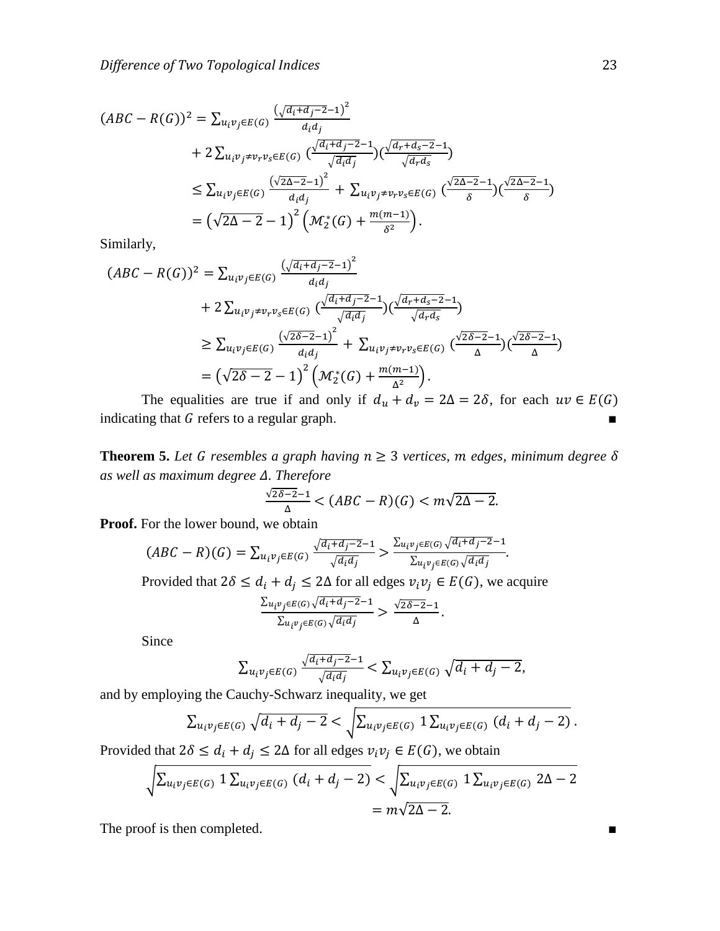$$
(ABC - R(G))^2 = \sum_{u_i v_j \in E(G)} \frac{(\sqrt{a_i + d_j - 2} - 1)^2}{d_i d_j}
$$
  
+  $2 \sum_{u_i v_j \neq v_r v_s \in E(G)} \frac{(\sqrt{a_i + d_j - 2} - 1)}{\sqrt{a_i d_j}} (\frac{\sqrt{a_r + d_s - 2} - 1}{\sqrt{a_r d_s}})$   
 $\leq \sum_{u_i v_j \in E(G)} \frac{(\sqrt{2\Delta - 2} - 1)^2}{d_i d_j} + \sum_{u_i v_j \neq v_r v_s \in E(G)} \frac{(\sqrt{2\Delta - 2} - 1)}{\delta} (\frac{\sqrt{2\Delta - 2} - 1}{\delta})$   
 $= (\sqrt{2\Delta - 2} - 1)^2 (M_2^*(G) + \frac{m(m - 1)}{\delta^2}).$ 

Similarly,

$$
(ABC - R(G))^2 = \sum_{u_i v_j \in E(G)} \frac{(\sqrt{d_i + d_j - 2} - 1)^2}{d_i d_j} + 2 \sum_{u_i v_j \neq v_r v_s \in E(G)} \frac{(\sqrt{d_i + d_j - 2} - 1)}{\sqrt{d_i d_j}} (\frac{\sqrt{d_r + d_s - 2} - 1}{\sqrt{d_r d_s}}) - 1)
$$
  
\n
$$
\geq \sum_{u_i v_j \in E(G)} \frac{(\sqrt{2\delta - 2} - 1)^2}{d_i d_j} + \sum_{u_i v_j \neq v_r v_s \in E(G)} \frac{(\sqrt{2\delta - 2} - 1)}{\Delta} (\frac{\sqrt{2\delta - 2} - 1}{\Delta})
$$
  
\n
$$
= (\sqrt{2\delta - 2} - 1)^2 \left( \mathcal{M}_2^*(G) + \frac{m(m-1)}{\Delta^2} \right).
$$

The equalities are true if and only if  $d_u + d_v = 2\Delta = 2\delta$ , for each  $uv \in E(G)$ indicating that  $G$  refers to a regular graph.  $\blacksquare$ 

**Theorem 5.** Let G resembles a graph having  $n \geq 3$  vertices, m edges, minimum degree  $\delta$ *as well as maximum degree Δ. Therefore* 

$$
\frac{\sqrt{2\delta-2}-1}{\Delta} < (ABC - R)(G) < m\sqrt{2\Delta - 2}.
$$

**Proof.** For the lower bound, we obtain

$$
(ABC - R)(G) = \sum_{u_i v_j \in E(G)} \frac{\sqrt{d_i + d_j - 2} - 1}{\sqrt{d_i d_j}} > \frac{\sum_{u_i v_j \in E(G)} \sqrt{d_i + d_j - 2} - 1}{\sum_{u_i v_j \in E(G)} \sqrt{d_i d_j}}.
$$

Provided that  $2\delta \le d_i + d_j \le 2\Delta$  for all edges  $v_i v_j \in E(G)$ , we acquire

$$
\frac{\sum_{u_i v_j \in E(G)} \sqrt{d_i + d_j - 2} - 1}{\sum_{u_i v_j \in E(G)} \sqrt{d_i d_j}} > \frac{\sqrt{2\delta - 2} - 1}{\Delta}.
$$

Since

$$
\sum_{u_iv_j\in E(G)}\frac{\sqrt{a_i+a_j-2}-1}{\sqrt{a_id_j}} < \sum_{u_iv_j\in E(G)}\sqrt{d_i+d_j-2},
$$

and by employing the Cauchy-Schwarz inequality, we get

$$
\sum_{u_i v_j \in E(G)} \sqrt{d_i + d_j - 2} < \sqrt{\sum_{u_i v_j \in E(G)} 1 \sum_{u_i v_j \in E(G)} (d_i + d_j - 2)}
$$

Provided that  $2\delta \le d_i + d_j \le 2\Delta$  for all edges  $v_i v_j \in E(G)$ , we obtain

$$
\sqrt{\sum_{u_i v_j \in E(G)} 1 \sum_{u_i v_j \in E(G)} (d_i + d_j - 2)} < \sqrt{\sum_{u_i v_j \in E(G)} 1 \sum_{u_i v_j \in E(G)} 2\Delta - 2}
$$
  
=  $m\sqrt{2\Delta - 2}$ .

The proof is then completed. ■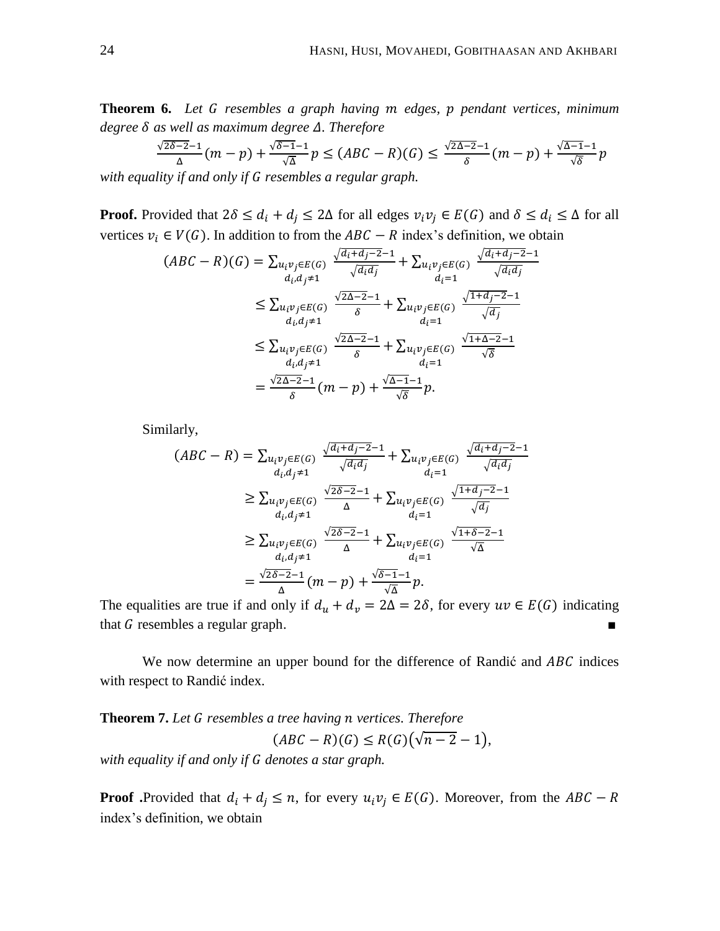**Theorem 6.** Let G resembles a graph having m edges, p pendant vertices, minimum  $degree \delta$  as well as maximum degree  $\Delta$ . Therefore

$$
\frac{\sqrt{2\delta-2}-1}{\Delta}(m-p)+\frac{\sqrt{\delta-1}-1}{\sqrt{\Delta}}p \leq (ABC-R)(G) \leq \frac{\sqrt{2\Delta-2}-1}{\delta}(m-p)+\frac{\sqrt{\Delta-1}-1}{\sqrt{\delta}}p
$$

with equality if and only if G resembles a regular graph.

**Proof.** Provided that  $2\delta \leq d_i + d_j \leq 2\Delta$  for all edges  $v_i v_j \in E(G)$  and  $\delta \leq d_i \leq \Delta$  for all vertices  $v_i \in V(G)$ . In addition to from the  $ABC - R$  index's definition, we obtain

$$
(ABC - R)(G) = \sum_{\substack{u_i v_j \in E(G) \\ d_i, d_j \neq 1}} \frac{\sqrt{a_i + d_j - 2} - 1}{\sqrt{a_i a_j}} + \sum_{\substack{u_i v_j \in E(G) \\ d_i = 1}} \frac{\sqrt{a_i + d_j - 2} - 1}{\sqrt{a_i a_j}}
$$
  
\n
$$
\leq \sum_{\substack{u_i v_j \in E(G) \\ d_i, d_j \neq 1}} \frac{\sqrt{2\Delta - 2} - 1}{\delta} + \sum_{\substack{u_i v_j \in E(G) \\ d_i = 1}} \frac{\sqrt{1 + d_j - 2} - 1}{\sqrt{a_j}}
$$
  
\n
$$
\leq \sum_{\substack{u_i v_j \in E(G) \\ d_i, d_j \neq 1}} \frac{\sqrt{2\Delta - 2} - 1}{\delta} + \sum_{\substack{u_i v_j \in E(G) \\ d_i = 1}} \frac{\sqrt{1 + \Delta - 2} - 1}{\sqrt{\delta}}
$$
  
\n
$$
= \frac{\sqrt{2\Delta - 2} - 1}{\delta} (m - p) + \frac{\sqrt{\Delta - 1} - 1}{\sqrt{\delta}} p.
$$

Similarly,

$$
(ABC - R) = \sum_{\substack{u_i v_j \in E(G) \\ d_i, d_j \neq 1}} \frac{\sqrt{a_i + d_j - 2} - 1}{\sqrt{a_i d_j}} + \sum_{\substack{u_i v_j \in E(G) \\ d_i = 1}} \frac{\sqrt{a_i + d_j - 2} - 1}{\sqrt{a_i d_j}}
$$
  
\n
$$
\geq \sum_{\substack{u_i v_j \in E(G) \\ d_i, d_j \neq 1}} \frac{\sqrt{2\delta - 2} - 1}{\Delta} + \sum_{\substack{u_i v_j \in E(G) \\ d_i = 1}} \frac{\sqrt{1 + d_j - 2} - 1}{\sqrt{d_j}}
$$
  
\n
$$
\geq \sum_{\substack{u_i v_j \in E(G) \\ d_i, d_j \neq 1}} \frac{\sqrt{2\delta - 2} - 1}{\Delta} + \sum_{\substack{u_i v_j \in E(G) \\ d_i = 1}} \frac{\sqrt{1 + \delta - 2} - 1}{\sqrt{\Delta}}
$$
  
\n
$$
= \frac{\sqrt{2\delta - 2} - 1}{\Delta} (m - p) + \frac{\sqrt{\delta - 1} - 1}{\sqrt{\Delta}} p.
$$

The equalities are true if and only if  $d_u + d_v = 2\Delta = 2\delta$ , for every  $uv \in E(G)$  indicating that  $G$  resembles a regular graph.

We now determine an upper bound for the difference of Randić and ABC indices with respect to Randić index.

**Theorem 7.** Let G resembles a tree having n vertices. Therefore  $(ABC - R)(G) \leq R(G)(\sqrt{n-2} - 1),$ 

*with equality if and only if denotes a star graph.* 

**Proof** .Provided that  $d_i + d_j \le n$ , for every  $u_i v_j \in E(G)$ . Moreover, from the ABC – R index's definition, we obtain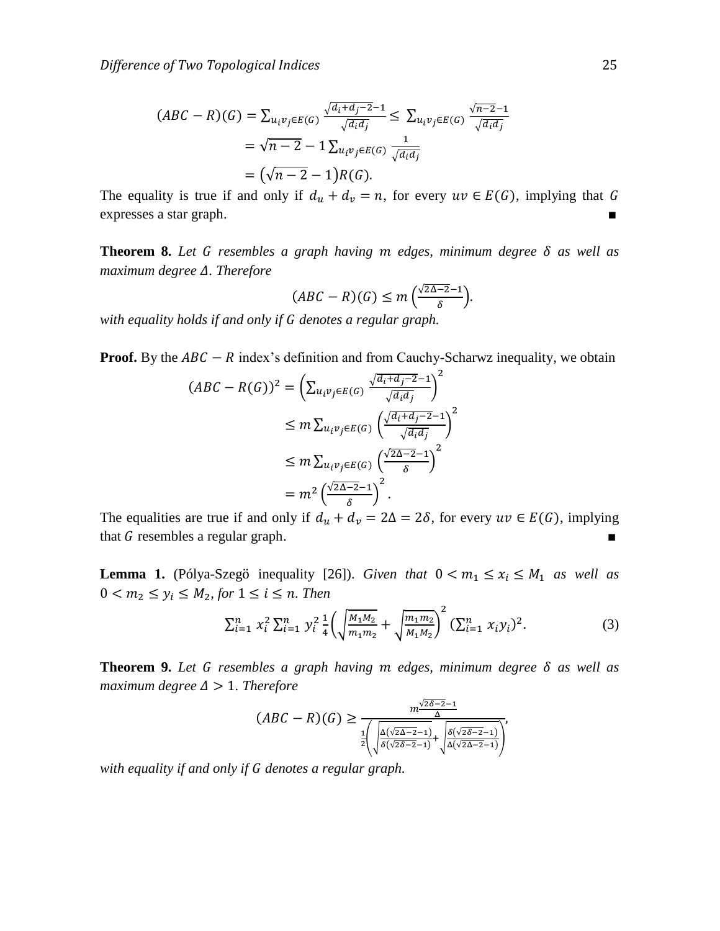$$
(ABC - R)(G) = \sum_{u_i v_j \in E(G)} \frac{\sqrt{a_i + d_j - 2} - 1}{\sqrt{a_i d_j}} \le \sum_{u_i v_j \in E(G)} \frac{\sqrt{n - 2} - 1}{\sqrt{a_i d_j}}
$$
  
=  $\sqrt{n - 2} - 1 \sum_{u_i v_j \in E(G)} \frac{1}{\sqrt{d_i d_j}}$   
=  $(\sqrt{n - 2} - 1)R(G).$ 

The equality is true if and only if  $d_u + d_v = n$ , for every  $uv \in E(G)$ , implying that G expresses a star graph.

**Theorem 8.** Let G resembles a graph having  $m$  edges, minimum degree  $\delta$  as well as *maximum degree*  $\Delta$ *. Therefore* 

$$
(ABC - R)(G) \le m\left(\frac{\sqrt{2\Delta - 2} - 1}{\delta}\right).
$$

*with equality holds if and only if denotes a regular graph.* 

**Proof.** By the  $ABC - R$  index's definition and from Cauchy-Scharwz inequality, we obtain

$$
(ABC - R(G))^2 = \left(\sum_{u_i v_j \in E(G)} \frac{\sqrt{d_i + d_j - 2} - 1}{\sqrt{d_i d_j}}\right)^2
$$
  
\n
$$
\leq m \sum_{u_i v_j \in E(G)} \left(\frac{\sqrt{d_i + d_j - 2} - 1}{\sqrt{d_i d_j}}\right)^2
$$
  
\n
$$
\leq m \sum_{u_i v_j \in E(G)} \left(\frac{\sqrt{2\Delta - 2} - 1}{\delta}\right)^2
$$
  
\n
$$
= m^2 \left(\frac{\sqrt{2\Delta - 2} - 1}{\delta}\right)^2.
$$

The equalities are true if and only if  $d_u + d_v = 2\Delta = 2\delta$ , for every  $uv \in E(G)$ , implying that  $G$  resembles a regular graph.

**Lemma 1.** (Pólya-Szegö inequality [26]). *Given that*  $0 < m_1 \le x_i \le M_1$  *as well as*  $0 < m_2 \le y_i \le M_2$ , for  $1 \le i \le n$ . Then

$$
\sum_{i=1}^{n} x_i^2 \sum_{i=1}^{n} y_i^2 \frac{1}{4} \left( \sqrt{\frac{M_1 M_2}{m_1 m_2}} + \sqrt{\frac{m_1 m_2}{M_1 M_2}} \right)^2 (\sum_{i=1}^{n} x_i y_i)^2.
$$
 (3)

**Theorem 9.** Let G resembles a graph having  $m$  edges, minimum degree  $\delta$  as well as *maximum degree*  $\Delta > 1$ *. Therefore* 

$$
(ABC - R)(G) \ge \frac{m^{\frac{\sqrt{2\delta - 2} - 1}{\Delta}}}{\frac{1}{2} \left( \sqrt{\frac{\Delta(\sqrt{2\Delta - 2} - 1)}{\delta(\sqrt{2\delta - 2} - 1)}} + \sqrt{\frac{\delta(\sqrt{2\delta - 2} - 1)}{\Delta(\sqrt{2\Delta - 2} - 1)}} \right)^{2}}
$$

*with equality if and only if denotes a regular graph.*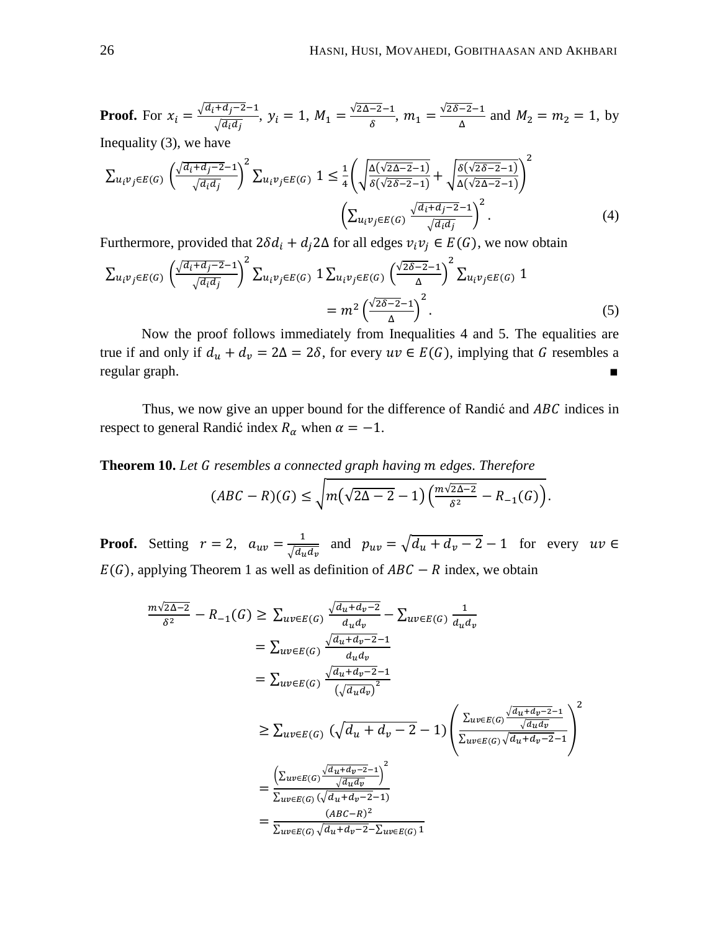**Proof.** For 
$$
x_i = \frac{\sqrt{d_i + d_j - 2} - 1}{\sqrt{d_i d_j}}
$$
,  $y_i = 1$ ,  $M_1 = \frac{\sqrt{2\Delta - 2} - 1}{\delta}$ ,  $m_1 = \frac{\sqrt{2\delta - 2} - 1}{\Delta}$  and  $M_2 = m_2 = 1$ , by Inequality (3), we have

$$
\sum_{u_i v_j \in E(G)} \left( \frac{\sqrt{d_i + d_j - 2} - 1}{\sqrt{d_i d_j}} \right)^2 \sum_{u_i v_j \in E(G)} 1 \le \frac{1}{4} \left( \sqrt{\frac{\Delta(\sqrt{2\Delta - 2} - 1)}{\delta(\sqrt{2\delta - 2} - 1)}} + \sqrt{\frac{\delta(\sqrt{2\delta - 2} - 1)}{\Delta(\sqrt{2\Delta - 2} - 1)}} \right)^2
$$
\n
$$
\left( \sum_{u_i v_j \in E(G)} \frac{\sqrt{d_i + d_j - 2} - 1}{\sqrt{d_i d_j}} \right)^2.
$$
\n(4)

Furthermore, provided that  $2\delta d_i + d_i 2\Delta$  for all edges  $v_i v_j \in E(G)$ , we now obtain

$$
\sum_{u_i v_j \in E(G)} \left(\frac{\sqrt{d_i + d_j - 2} - 1}{\sqrt{d_i d_j}}\right)^2 \sum_{u_i v_j \in E(G)} 1 \sum_{u_i v_j \in E(G)} \left(\frac{\sqrt{2\delta - 2} - 1}{\Delta}\right)^2 \sum_{u_i v_j \in E(G)} 1
$$
\n
$$
= m^2 \left(\frac{\sqrt{2\delta - 2} - 1}{\Delta}\right)^2.
$$
\n(5)

Now the proof follows immediately from Inequalities 4 and 5. The equalities are true if and only if  $d_u + d_v = 2\Delta = 2\delta$ , for every  $uv \in E(G)$ , implying that G resembles a regular graph. ■

Thus, we now give an upper bound for the difference of Randić and ABC indices in respect to general Randić index  $R_{\alpha}$  when  $\alpha = -1$ .

**Theorem 10.** Let G resembles a connected graph having m edges. Therefore

$$
(ABC - R)(G) \le \sqrt{m(\sqrt{2\Delta - 2} - 1)\left(\frac{m\sqrt{2\Delta - 2}}{\delta^2} - R_{-1}(G)\right)}.
$$

**Proof.** Setting  $r = 2$ ,  $a_{uv} = \frac{1}{\sqrt{2}}$  $\frac{1}{\sqrt{d_u d_v}}$  and  $p_{uv} = \sqrt{d_u + d_v - 2 - 1}$  for every  $E(G)$ , applying Theorem 1 as well as definition of  $ABC - R$  index, we obtain

$$
\frac{m\sqrt{2\Delta-2}}{\delta^2} - R_{-1}(G) \ge \sum_{uv \in E(G)} \frac{\sqrt{d_u + d_v - 2}}{d_u d_v} - \sum_{uv \in E(G)} \frac{1}{d_u d_v}
$$
\n
$$
= \sum_{uv \in E(G)} \frac{\sqrt{d_u + d_v - 2} - 1}{d_u d_v}
$$
\n
$$
= \sum_{uv \in E(G)} \frac{\sqrt{d_u + d_v - 2} - 1}{(\sqrt{d_u d_v})^2}
$$
\n
$$
\ge \sum_{uv \in E(G)} (\sqrt{d_u + d_v - 2} - 1) \left( \frac{\sum_{uv \in E(G)} \frac{\sqrt{d_u + d_v - 2} - 1}{\sqrt{d_u d_v}}}{\sum_{uv \in E(G)} \sqrt{d_u + d_v - 2} - 1} \right)^2
$$
\n
$$
= \frac{\left( \sum_{uv \in E(G)} \frac{\sqrt{d_u + d_v - 2} - 1}{\sqrt{d_u d_v}} \right)^2}{\sum_{uv \in E(G)} (\sqrt{d_u + d_v - 2} - 1)}
$$
\n
$$
= \frac{(ABC - R)^2}{\sum_{uv \in E(G)} \sqrt{d_u + d_v - 2} - \sum_{uv \in E(G)} 1}
$$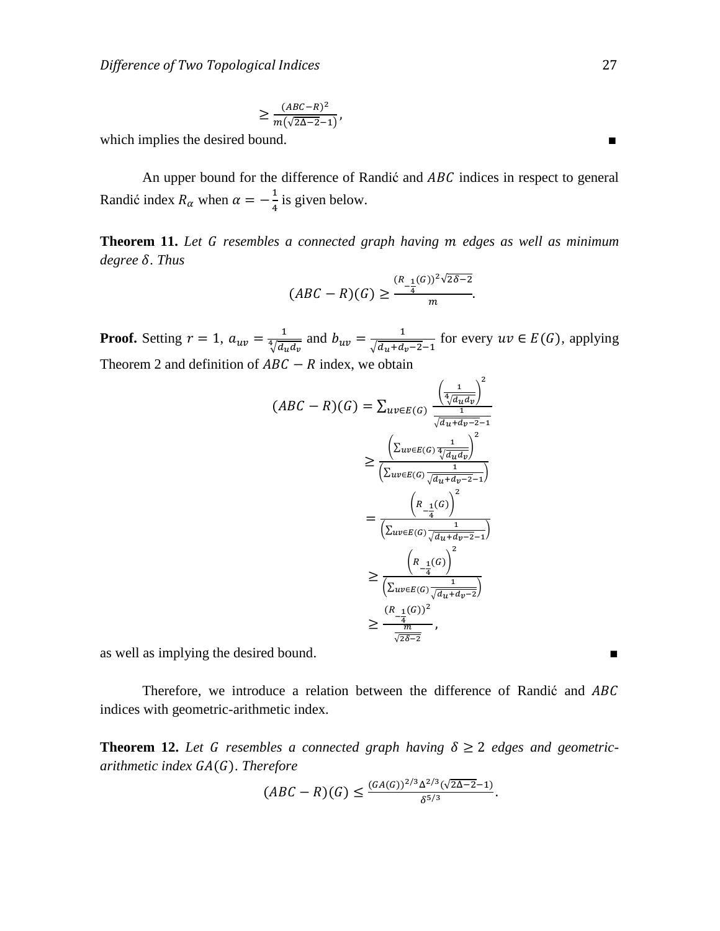$$
\geq \frac{(ABC-R)^2}{m(\sqrt{2\Delta-2}-1)},
$$

which implies the desired bound.

An upper bound for the difference of Randić and  $ABC$  indices in respect to general Randić index  $R_{\alpha}$  when  $\alpha = -\frac{1}{4}$  $\frac{1}{4}$  is given below.

**Theorem 11.** Let G resembles a connected graph having m edges as well as minimum *degree* δ. Thus

$$
(ABC - R)(G) \ge \frac{(R_{-\frac{1}{4}}(G))^2 \sqrt{2\delta - 2}}{m}.
$$

**Proof.** Setting  $r = 1$ ,  $a_{uv} = \frac{1}{4\sqrt{3}}$  $\frac{1}{\sqrt[4]{d_u d_v}}$  and  $b_{uv} = \frac{1}{\sqrt{d_u + d_v}}$  $\frac{1}{\sqrt{d_u+d_v-2}-1}$  for every  $uv \in E(G)$ , applying Theorem 2 and definition of  $ABC - R$  index, we obtain

$$
(ABC - R)(G) = \sum_{uv \in E(G)} \frac{\left(\frac{1}{4/d_{u}d_{v}}\right)^{2}}{\frac{1}{\sqrt{d_{u} + d_{v} - 2} - 1}}
$$

$$
\geq \frac{\left(\sum_{uv \in E(G)} \frac{1}{4/d_{u}d_{v}}\right)^{2}}{\left(\sum_{uv \in E(G)} \frac{1}{\sqrt{d_{u} + d_{v} - 2} - 1}\right)}
$$

$$
= \frac{\left(R_{-\frac{1}{4}}(G)\right)^{2}}{\left(\sum_{uv \in E(G)} \frac{1}{\sqrt{d_{u} + d_{v} - 2} - 1}\right)}
$$

$$
\geq \frac{\left(R_{-\frac{1}{4}}(G)\right)^{2}}{\left(\sum_{uv \in E(G)} \frac{1}{\sqrt{d_{u} + d_{v} - 2}}\right)}
$$

$$
\geq \frac{\left(R_{-\frac{1}{4}}(G)\right)^{2}}{\frac{1}{\sqrt{2\delta - 2}}},
$$

as well as implying the desired bound.

Therefore, we introduce a relation between the difference of Randić and ABC indices with geometric-arithmetic index.

**Theorem 12.** Let G resembles a connected graph having  $\delta \geq 2$  edges and geometric*arithmetic index GA(G). Therefore* 

$$
(ABC - R)(G) \le \frac{(GA(G))^{2/3} \Delta^{2/3} (\sqrt{2\Delta - 2} - 1)}{\delta^{5/3}}.
$$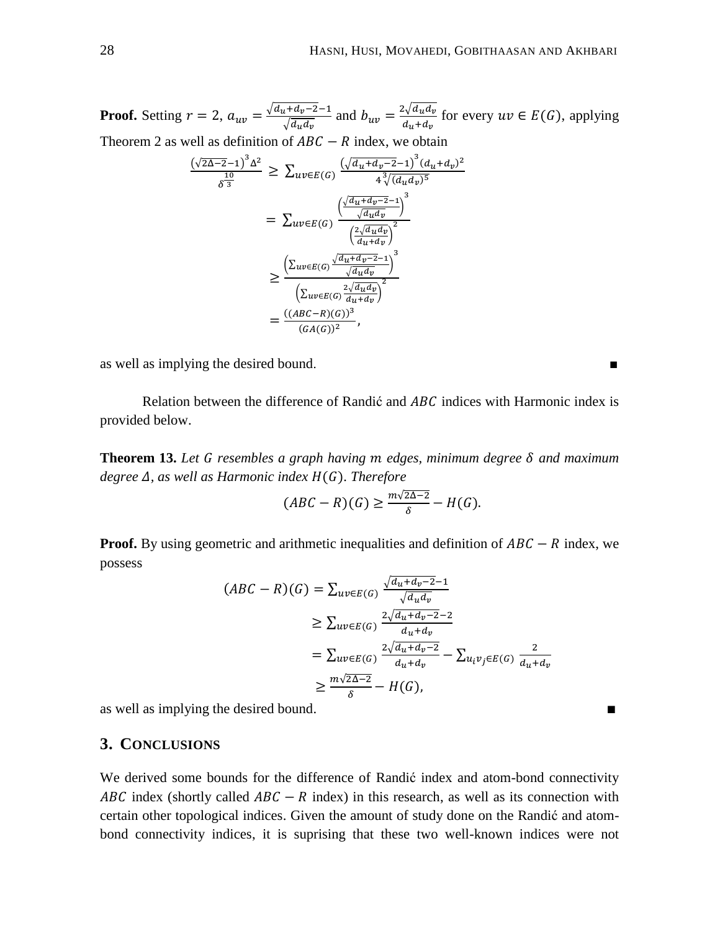**Proof.** Setting  $r = 2$ ,  $a_{uv} = \frac{\sqrt{d}}{2}$  $\frac{d_u + d_v - 2 - 1}{\sqrt{d_u d_v}}$  and  $b_{uv} = \frac{2\sqrt{d_u}}{d_u + d_v}$  $\frac{\partial \overline{\mathcal{A}} u_u u_v}{\partial u_d + d_v}$  for every  $uv \in E(G)$ , applying Theorem 2 as well as definition of  $ABC - R$  index, we obtain

$$
\frac{(\sqrt{2}\Delta - 2 - 1)^{3} \Delta^{2}}{\delta^{3}} \geq \sum_{uv \in E(G)} \frac{(\sqrt{d_{u} + d_{v} - 2} - 1)^{3} (d_{u} + d_{v})^{2}}{4^{3} \sqrt{(d_{u} d_{v})^{5}}}
$$
\n
$$
= \sum_{uv \in E(G)} \frac{\left(\frac{\sqrt{d_{u} + d_{v} - 2} - 1}{\sqrt{d_{u} d_{v}}}\right)^{3}}{\left(\frac{2\sqrt{d_{u} d_{v}}}{d_{u} + d_{v}}\right)^{2}}
$$
\n
$$
\geq \frac{\left(\sum_{uv \in E(G)} \frac{\sqrt{d_{u} + d_{v} - 2} - 1}{\sqrt{d_{u} d_{v}}}\right)^{3}}{\left(\sum_{uv \in E(G)} \frac{2\sqrt{d_{u} d_{v}}}{d_{u} + d_{v}}\right)^{2}}
$$
\n
$$
= \frac{((ABC - R)(G))^{3}}{(GA(G))^{2}},
$$

as well as implying the desired bound. ■

Relation between the difference of Randić and  $ABC$  indices with Harmonic index is provided below.

**Theorem 13.** Let G resembles a graph having m edges, minimum degree  $\delta$  and maximum  $degree \Delta$ , as well as Harmonic index  $H(G)$ . Therefore

$$
(ABC - R)(G) \ge \frac{m\sqrt{2\Delta - 2}}{\delta} - H(G).
$$

**Proof.** By using geometric and arithmetic inequalities and definition of  $ABC - R$  index, we possess

$$
(ABC - R)(G) = \sum_{uv \in E(G)} \frac{\sqrt{d_u + d_v - 2} - 1}{\sqrt{d_u d_v}}
$$
  
\n
$$
\geq \sum_{uv \in E(G)} \frac{2\sqrt{d_u + d_v - 2} - 2}{d_u + d_v}
$$
  
\n
$$
= \sum_{uv \in E(G)} \frac{2\sqrt{d_u + d_v - 2}}{d_u + d_v} - \sum_{u_i v_j \in E(G)} \frac{2}{d_u + d_v}
$$
  
\n
$$
\geq \frac{m\sqrt{2\Delta - 2}}{\delta} - H(G),
$$

as well as implying the desired bound.

## **3. CONCLUSIONS**

We derived some bounds for the difference of Randić index and atom-bond connectivity ABC index (shortly called  $ABC - R$  index) in this research, as well as its connection with certain other topological indices. Given the amount of study done on the Randić and atombond connectivity indices, it is suprising that these two well-known indices were not

п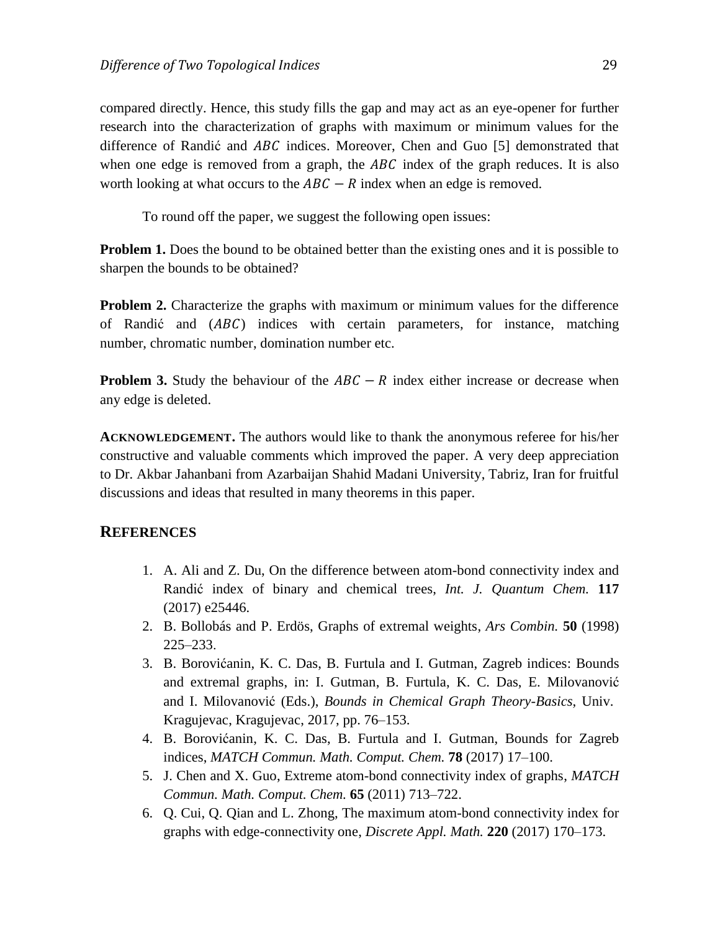compared directly. Hence, this study fills the gap and may act as an eye-opener for further research into the characterization of graphs with maximum or minimum values for the difference of Randić and  $ABC$  indices. Moreover, Chen and Guo [5] demonstrated that when one edge is removed from a graph, the  $ABC$  index of the graph reduces. It is also worth looking at what occurs to the  $ABC - R$  index when an edge is removed.

To round off the paper, we suggest the following open issues:

**Problem 1.** Does the bound to be obtained better than the existing ones and it is possible to sharpen the bounds to be obtained?

**Problem 2.** Characterize the graphs with maximum or minimum values for the difference of Randić and  $(ABC)$  indices with certain parameters, for instance, matching number, chromatic number, domination number etc.

**Problem 3.** Study the behaviour of the  $ABC - R$  index either increase or decrease when any edge is deleted.

**ACKNOWLEDGEMENT.** The authors would like to thank the anonymous referee for his/her constructive and valuable comments which improved the paper. A very deep appreciation to Dr. Akbar Jahanbani from Azarbaijan Shahid Madani University, Tabriz, Iran for fruitful discussions and ideas that resulted in many theorems in this paper.

#### **REFERENCES**

- 1. A. Ali and Z. Du, On the difference between atom-bond connectivity index and Randić index of binary and chemical trees, *Int. J. Quantum Chem.* **117** (2017) e25446.
- 2. B. Bollobás and P. Erdös, Graphs of extremal weights, *Ars Combin.* **50** (1998) 225–233.
- 3. B. Borovićanin, K. C. Das, B. Furtula and I. Gutman, Zagreb indices: Bounds and extremal graphs, in: I. Gutman, B. Furtula, K. C. Das, E. Milovanović and I. Milovanović (Eds.), *Bounds in Chemical Graph Theory-Basics*, Univ. Kragujevac, Kragujevac, 2017, pp. 76–153.
- 4. B. Borovićanin, K. C. Das, B. Furtula and I. Gutman, Bounds for Zagreb indices, *MATCH Commun. Math. Comput. Chem.* **78** (2017) 17–100.
- 5. J. Chen and X. Guo, Extreme atom-bond connectivity index of graphs, *MATCH Commun. Math. Comput. Chem.* **65** (2011) 713–722.
- 6. Q. Cui, Q. Qian and L. Zhong, The maximum atom-bond connectivity index for graphs with edge-connectivity one, *Discrete Appl. Math.* **220** (2017) 170–173.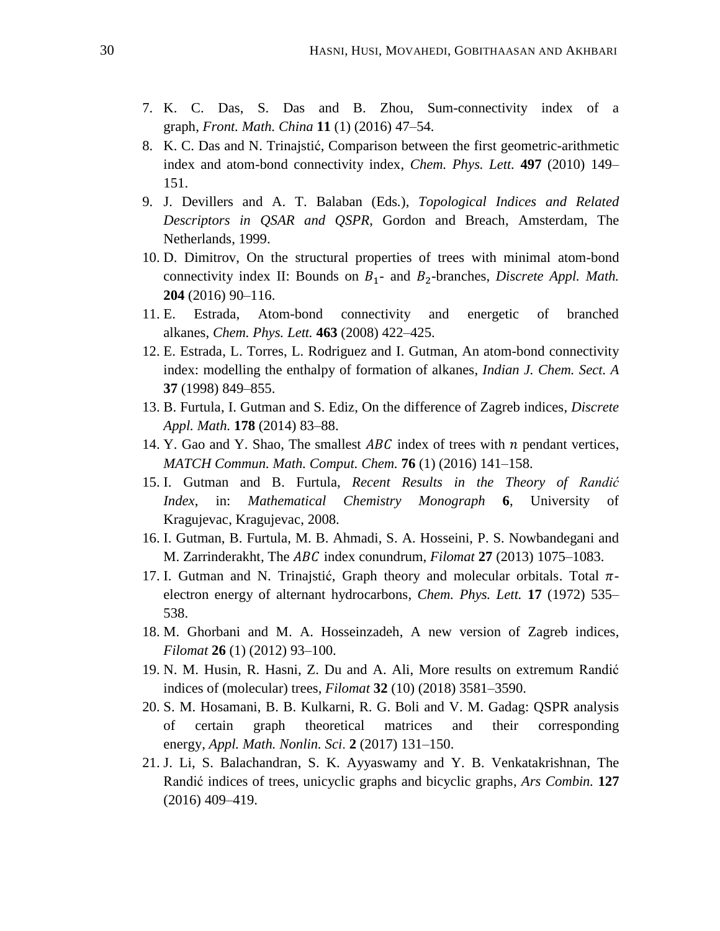- 7. K. C. Das, S. Das and B. Zhou, Sum-connectivity index of a graph, *Front. Math. China* **11** (1) (2016) 47–54.
- 8. K. C. Das and N. Trinajstić, Comparison between the first geometric-arithmetic index and atom-bond connectivity index, *Chem. Phys. Lett.* **497** (2010) 149– 151.
- 9. J. Devillers and A. T. Balaban (Eds*.*), *Topological Indices and Related Descriptors in QSAR and QSPR*, Gordon and Breach, Amsterdam, The Netherlands, 1999.
- 10. D. Dimitrov, On the structural properties of trees with minimal atom-bond connectivity index II: Bounds on  $B_1$ - and  $B_2$ -branches, *Discrete Appl. Math.* **204** (2016) 90–116.
- 11. E. Estrada, Atom-bond connectivity and energetic of branched alkanes, *Chem. Phys. Lett.* **463** (2008) 422–425.
- 12. E. Estrada, L. Torres, L. Rodriguez and I. Gutman, An atom-bond connectivity index: modelling the enthalpy of formation of alkanes, *Indian J. Chem. Sect. A* **37** (1998) 849–855.
- 13. B. Furtula, I. Gutman and S. Ediz, On the difference of Zagreb indices, *Discrete Appl. Math.* **178** (2014) 83–88.
- 14. Y. Gao and Y. Shao, The smallest  $ABC$  index of trees with n pendant vertices, *MATCH Commun. Math. Comput. Chem.* **76** (1) (2016) 141–158.
- 15. I. Gutman and B. Furtula, *Recent Results in the Theory of Randić Index*, in: *Mathematical Chemistry Monograph* **6**, University of Kragujevac, Kragujevac, 2008.
- 16. I. Gutman, B. Furtula, M. B. Ahmadi, S. A. Hosseini, P. S. Nowbandegani and M. Zarrinderakht, The *ABC* index conundrum, *Filomat* 27 (2013) 1075–1083.
- 17. I. Gutman and N. Trinajstić, Graph theory and molecular orbitals. Total  $\pi$ electron energy of alternant hydrocarbons, *Chem. Phys. Lett.* **17** (1972) 535– 538.
- 18. M. Ghorbani and M. A. Hosseinzadeh, A new version of Zagreb indices, *Filomat* **26** (1) (2012) 93–100.
- 19. N. M. Husin, R. Hasni, Z. Du and A. Ali, More results on extremum Randić indices of (molecular) trees, *Filomat* **32** (10) (2018) 3581–3590.
- 20. S. M. Hosamani, B. B. Kulkarni, R. G. Boli and V. M. Gadag: QSPR analysis of certain graph theoretical matrices and their corresponding energy, *Appl. Math. Nonlin. Sci*. **2** (2017) 131–150.
- 21. J. Li, S. Balachandran, S. K. Ayyaswamy and Y. B. Venkatakrishnan, The Randić indices of trees, unicyclic graphs and bicyclic graphs, *Ars Combin.* **127** (2016) 409–419.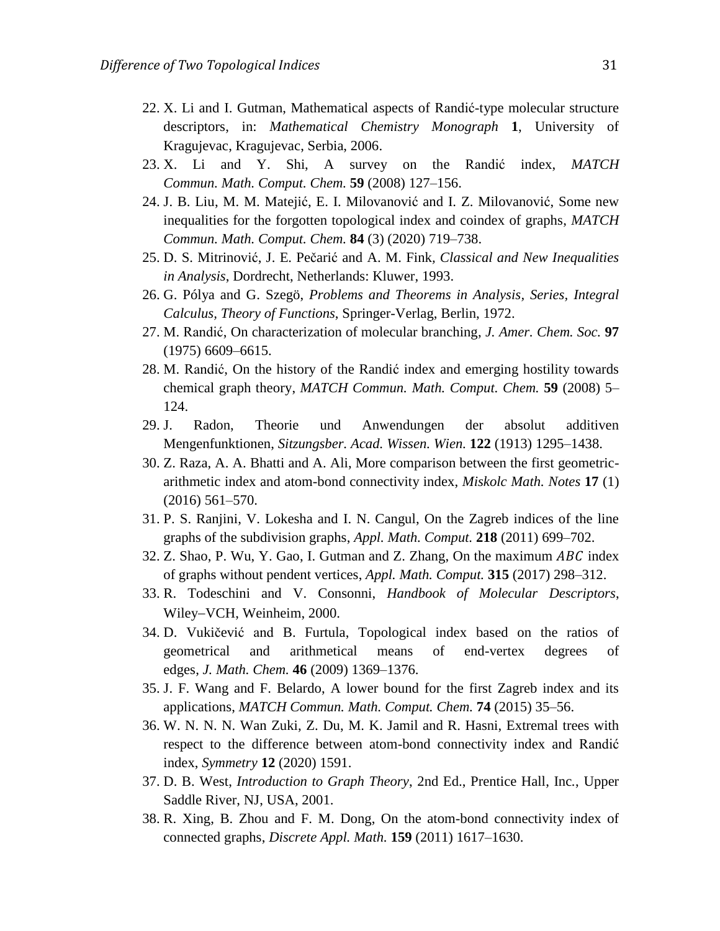- 22. X. Li and I. Gutman, Mathematical aspects of Randić-type molecular structure descriptors, in: *Mathematical Chemistry Monograph* **1**, University of Kragujevac, Kragujevac, Serbia, 2006.
- 23. X. Li and Y. Shi, A survey on the Randić index, *MATCH Commun. Math. Comput. Chem.* **59** (2008) 127–156.
- 24. J. B. Liu, M. M. Matejić, E. I. Milovanović and I. Z. Milovanović, Some new inequalities for the forgotten topological index and coindex of graphs, *MATCH Commun. Math. Comput. Chem.* **84** (3) (2020) 719–738.
- 25. D. S. Mitrinović, J. E. Pečarić and A. M. Fink*, Classical and New Inequalities in Analysis*, Dordrecht, Netherlands: Kluwer, 1993.
- 26. G. Pólya and G. Szegö, *Problems and Theorems in Analysis, Series, Integral Calculus, Theory of Functions*, Springer-Verlag, Berlin, 1972.
- 27. M. Randić, On characterization of molecular branching, *J. Amer. Chem. Soc.* **97** (1975) 6609–6615.
- 28. M. Randić, On the history of the Randić index and emerging hostility towards chemical graph theory, *MATCH Commun. Math. Comput. Chem.* **59** (2008) 5– 124.
- 29. J. Radon, Theorie und Anwendungen der absolut additiven Mengenfunktionen, *Sitzungsber. Acad. Wissen. Wien.* **122** (1913) 1295–1438.
- 30. Z. Raza, A. A. Bhatti and A. Ali, More comparison between the first geometricarithmetic index and atom-bond connectivity index, *Miskolc Math. Notes* **17** (1) (2016) 561–570.
- 31. P. S. Ranjini, V. Lokesha and I. N. Cangul, On the Zagreb indices of the line graphs of the subdivision graphs, *Appl. Math. Comput.* **218** (2011) 699–702.
- 32. Z. Shao, P. Wu, Y. Gao, I. Gutman and Z. Zhang, On the maximum  $ABC$  index of graphs without pendent vertices, *Appl. Math. Comput.* **315** (2017) 298–312.
- 33. R. Todeschini and V. Consonni, *Handbook of Molecular Descriptors*, Wiley-VCH, Weinheim, 2000.
- 34. D. Vukičević and B. Furtula, Topological index based on the ratios of geometrical and arithmetical means of end-vertex degrees of edges, *J. Math. Chem.* **46** (2009) 1369–1376.
- 35. J. F. Wang and F. Belardo, A lower bound for the first Zagreb index and its applications, *MATCH Commun. Math. Comput. Chem.* **74** (2015) 35–56.
- 36. W. N. N. N. Wan Zuki, Z. Du, M. K. Jamil and R. Hasni, Extremal trees with respect to the difference between atom-bond connectivity index and Randić index, *Symmetry* **12** (2020) 1591.
- 37. D. B. West, *Introduction to Graph Theory*, 2nd Ed., Prentice Hall, Inc*.*, Upper Saddle River, NJ, USA, 2001.
- 38. R. Xing, B. Zhou and F. M. Dong, On the atom-bond connectivity index of connected graphs, *Discrete Appl. Math.* **159** (2011) 1617–1630.